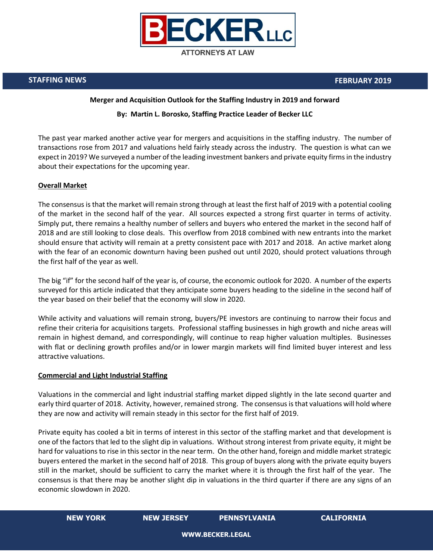

### **Merger and Acquisition Outlook for the Staffing Industry in 2019 and forward**

#### **By: Martin L. Borosko, Staffing Practice Leader of Becker LLC**

The past year marked another active year for mergers and acquisitions in the staffing industry. The number of transactions rose from 2017 and valuations held fairly steady across the industry. The question is what can we expect in 2019? We surveyed a number of the leading investment bankers and private equity firms in the industry about their expectations for the upcoming year.

#### **Overall Market**

The consensus is that the market will remain strong through at least the first half of 2019 with a potential cooling of the market in the second half of the year. All sources expected a strong first quarter in terms of activity. Simply put, there remains a healthy number of sellers and buyers who entered the market in the second half of 2018 and are still looking to close deals. This overflow from 2018 combined with new entrants into the market should ensure that activity will remain at a pretty consistent pace with 2017 and 2018. An active market along with the fear of an economic downturn having been pushed out until 2020, should protect valuations through the first half of the year as well.

The big "if" for the second half of the year is, of course, the economic outlook for 2020. A number of the experts surveyed for this article indicated that they anticipate some buyers heading to the sideline in the second half of the year based on their belief that the economy will slow in 2020.

While activity and valuations will remain strong, buyers/PE investors are continuing to narrow their focus and refine their criteria for acquisitions targets. Professional staffing businesses in high growth and niche areas will remain in highest demand, and correspondingly, will continue to reap higher valuation multiples. Businesses with flat or declining growth profiles and/or in lower margin markets will find limited buyer interest and less attractive valuations.

#### **Commercial and Light Industrial Staffing**

Valuations in the commercial and light industrial staffing market dipped slightly in the late second quarter and early third quarter of 2018. Activity, however, remained strong. The consensus is that valuations will hold where they are now and activity will remain steady in this sector for the first half of 2019.

Private equity has cooled a bit in terms of interest in this sector of the staffing market and that development is one of the factors that led to the slight dip in valuations. Without strong interest from private equity, it might be hard for valuations to rise in this sector in the near term. On the other hand, foreign and middle market strategic buyers entered the market in the second half of 2018. This group of buyers along with the private equity buyers still in the market, should be sufficient to carry the market where it is through the first half of the year. The consensus is that there may be another slight dip in valuations in the third quarter if there are any signs of an economic slowdown in 2020.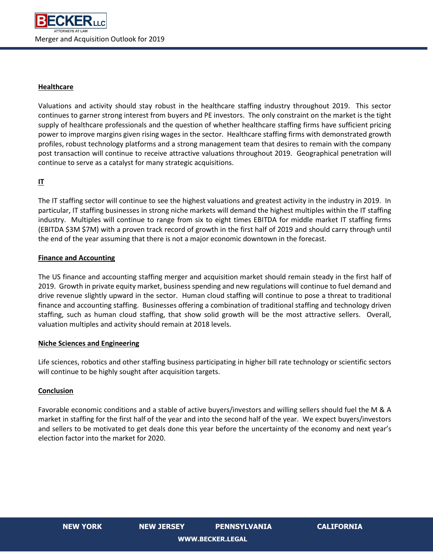

### **Healthcare**

Valuations and activity should stay robust in the healthcare staffing industry throughout 2019. This sector continues to garner strong interest from buyers and PE investors. The only constraint on the market is the tight supply of healthcare professionals and the question of whether healthcare staffing firms have sufficient pricing power to improve margins given rising wages in the sector. Healthcare staffing firms with demonstrated growth profiles, robust technology platforms and a strong management team that desires to remain with the company post transaction will continue to receive attractive valuations throughout 2019. Geographical penetration will continue to serve as a catalyst for many strategic acquisitions.

# **IT**

The IT staffing sector will continue to see the highest valuations and greatest activity in the industry in 2019. In particular, IT staffing businesses in strong niche markets will demand the highest multiples within the IT staffing industry. Multiples will continue to range from six to eight times EBITDA for middle market IT staffing firms (EBITDA \$3M \$7M) with a proven track record of growth in the first half of 2019 and should carry through until the end of the year assuming that there is not a major economic downtown in the forecast.

# **Finance and Accounting**

The US finance and accounting staffing merger and acquisition market should remain steady in the first half of 2019. Growth in private equity market, business spending and new regulations will continue to fuel demand and drive revenue slightly upward in the sector. Human cloud staffing will continue to pose a threat to traditional finance and accounting staffing. Businesses offering a combination of traditional staffing and technology driven staffing, such as human cloud staffing, that show solid growth will be the most attractive sellers. Overall, valuation multiples and activity should remain at 2018 levels.

# **Niche Sciences and Engineering**

Life sciences, robotics and other staffing business participating in higher bill rate technology or scientific sectors will continue to be highly sought after acquisition targets.

# **Conclusion**

Favorable economic conditions and a stable of active buyers/investors and willing sellers should fuel the M & A market in staffing for the first half of the year and into the second half of the year. We expect buyers/investors and sellers to be motivated to get deals done this year before the uncertainty of the economy and next year's election factor into the market for 2020.

|  | <b>NEW YORK</b> |  |
|--|-----------------|--|